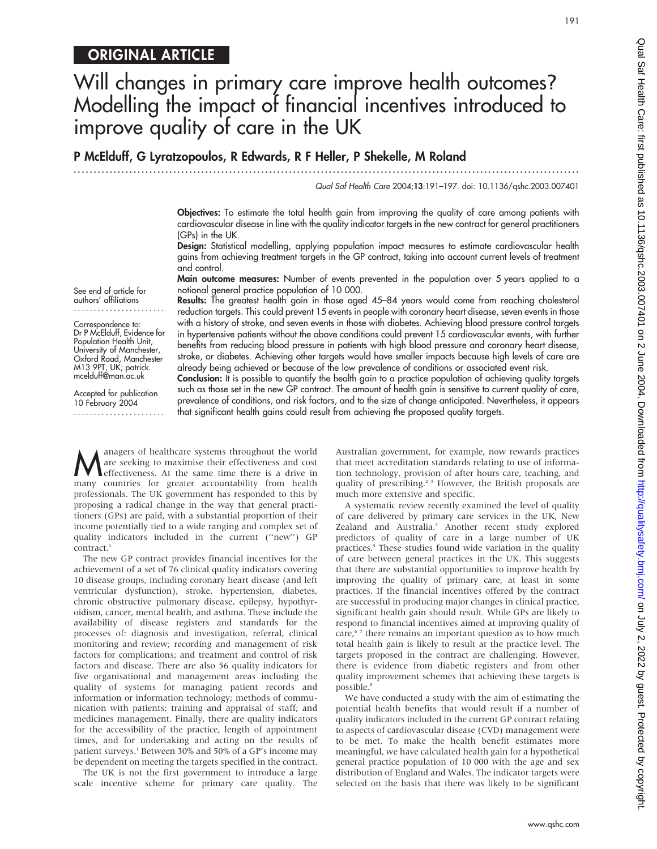# ORIGINAL ARTICLE

# Will changes in primary care improve health outcomes? Modelling the impact of financial incentives introduced to improve quality of care in the UK

P McElduff, G Lyratzopoulos, R Edwards, R F Heller, P Shekelle, M Roland

...............................................................................................................................

Qual Saf Health Care 2004;13:191–197. doi: 10.1136/qshc.2003.007401

Objectives: To estimate the total health gain from improving the quality of care among patients with cardiovascular disease in line with the quality indicator targets in the new contract for general practitioners (GPs) in the UK.

Design: Statistical modelling, applying population impact measures to estimate cardiovascular health gains from achieving treatment targets in the GP contract, taking into account current levels of treatment and control.

Main outcome measures: Number of events prevented in the population over 5 years applied to a notional general practice population of 10 000.

Results: The greatest health gain in those aged 45–84 years would come from reaching cholesterol reduction targets. This could prevent 15 events in people with coronary heart disease, seven events in those with a history of stroke, and seven events in those with diabetes. Achieving blood pressure control targets in hypertensive patients without the above conditions could prevent 15 cardiovascular events, with further benefits from reducing blood pressure in patients with high blood pressure and coronary heart disease, stroke, or diabetes. Achieving other targets would have smaller impacts because high levels of care are already being achieved or because of the low prevalence of conditions or associated event risk.

Conclusion: It is possible to quantify the health gain to a practice population of achieving quality targets such as those set in the new GP contract. The amount of health gain is sensitive to current quality of care, prevalence of conditions, and risk factors, and to the size of change anticipated. Nevertheless, it appears that significant health gains could result from achieving the proposed quality targets.

See end of article for authors' affiliations .......................

Correspondence to: Dr P McElduff, Evidence for Population Health Unit, University of Manchester, Oxford Road, Manchester M13 9PT, UK; patrick. mcelduff@man.ac.uk

Accepted for publication 10 February 2004 .......................

**M** anagers of healthcare systems throughout the world<br>are seeking to maximise their effectiveness and cost<br>effectiveness. At the same time there is a drive in<br>many countries for greater accountability from bealth are seeking to maximise their effectiveness and cost many countries for greater accountability from health professionals. The UK government has responded to this by proposing a radical change in the way that general practitioners (GPs) are paid, with a substantial proportion of their income potentially tied to a wide ranging and complex set of quality indicators included in the current (''new'') GP contract.<sup>1</sup>

The new GP contract provides financial incentives for the achievement of a set of 76 clinical quality indicators covering 10 disease groups, including coronary heart disease (and left ventricular dysfunction), stroke, hypertension, diabetes, chronic obstructive pulmonary disease, epilepsy, hypothyroidism, cancer, mental health, and asthma. These include the availability of disease registers and standards for the processes of: diagnosis and investigation, referral, clinical monitoring and review; recording and management of risk factors for complications; and treatment and control of risk factors and disease. There are also 56 quality indicators for five organisational and management areas including the quality of systems for managing patient records and information or information technology; methods of communication with patients; training and appraisal of staff; and medicines management. Finally, there are quality indicators for the accessibility of the practice, length of appointment times, and for undertaking and acting on the results of patient surveys.<sup>1</sup> Between 30% and 50% of a GP's income may be dependent on meeting the targets specified in the contract.

The UK is not the first government to introduce a large scale incentive scheme for primary care quality. The Australian government, for example, now rewards practices that meet accreditation standards relating to use of information technology, provision of after hours care, teaching, and quality of prescribing.<sup>23</sup> However, the British proposals are much more extensive and specific.

A systematic review recently examined the level of quality of care delivered by primary care services in the UK, New Zealand and Australia.<sup>4</sup> Another recent study explored predictors of quality of care in a large number of UK practices.<sup>5</sup> These studies found wide variation in the quality of care between general practices in the UK. This suggests that there are substantial opportunities to improve health by improving the quality of primary care, at least in some practices. If the financial incentives offered by the contract are successful in producing major changes in clinical practice, significant health gain should result. While GPs are likely to respond to financial incentives aimed at improving quality of care, $67$  there remains an important question as to how much total health gain is likely to result at the practice level. The targets proposed in the contract are challenging. However, there is evidence from diabetic registers and from other quality improvement schemes that achieving these targets is possible.<sup>8</sup>

We have conducted a study with the aim of estimating the potential health benefits that would result if a number of quality indicators included in the current GP contract relating to aspects of cardiovascular disease (CVD) management were to be met. To make the health benefit estimates more meaningful, we have calculated health gain for a hypothetical general practice population of 10 000 with the age and sex distribution of England and Wales. The indicator targets were selected on the basis that there was likely to be significant

191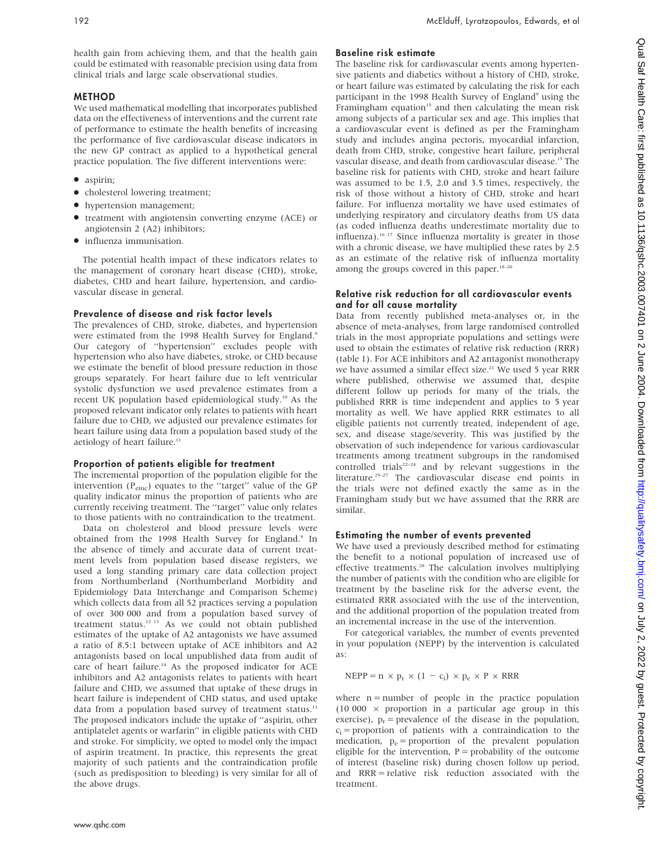health gain from achieving them, and that the health gain could be estimated with reasonable precision using data from clinical trials and large scale observational studies.

# METHOD

We used mathematical modelling that incorporates published data on the effectiveness of interventions and the current rate of performance to estimate the health benefits of increasing the performance of five cardiovascular disease indicators in the new GP contract as applied to a hypothetical general practice population. The five different interventions were:

- aspirin;
- cholesterol lowering treatment;
- hypertension management;
- treatment with angiotensin converting enzyme (ACE) or angiotensin 2 (A2) inhibitors;
- $\bullet$  influenza immunisation.

The potential health impact of these indicators relates to the management of coronary heart disease (CHD), stroke, diabetes, CHD and heart failure, hypertension, and cardiovascular disease in general.

# Prevalence of disease and risk factor levels

The prevalences of CHD, stroke, diabetes, and hypertension were estimated from the 1998 Health Survey for England.9 Our category of ''hypertension'' excludes people with hypertension who also have diabetes, stroke, or CHD because we estimate the benefit of blood pressure reduction in those groups separately. For heart failure due to left ventricular systolic dysfunction we used prevalence estimates from a recent UK population based epidemiological study.10 As the proposed relevant indicator only relates to patients with heart failure due to CHD, we adjusted our prevalence estimates for heart failure using data from a population based study of the aetiology of heart failure.<sup>11</sup>

# Proportion of patients eligible for treatment

The incremental proportion of the population eligible for the intervention (P<sub>einc</sub>) equates to the "target" value of the GP quality indicator minus the proportion of patients who are currently receiving treatment. The ''target'' value only relates to those patients with no contraindication to the treatment.

Data on cholesterol and blood pressure levels were obtained from the 1998 Health Survey for England.<sup>9</sup> In the absence of timely and accurate data of current treatment levels from population based disease registers, we used a long standing primary care data collection project from Northumberland (Northumberland Morbidity and Epidemiology Data Interchange and Comparison Scheme) which collects data from all 52 practices serving a population of over 300 000 and from a population based survey of treatment status.12 13 As we could not obtain published estimates of the uptake of A2 antagonists we have assumed a ratio of 8.5:1 between uptake of ACE inhibitors and A2 antagonists based on local unpublished data from audit of care of heart failure.<sup>14</sup> As the proposed indicator for ACE inhibitors and A2 antagonists relates to patients with heart failure and CHD, we assumed that uptake of these drugs in heart failure is independent of CHD status, and used uptake data from a population based survey of treatment status.<sup>13</sup> The proposed indicators include the uptake of ''aspirin, other antiplatelet agents or warfarin'' in eligible patients with CHD and stroke. For simplicity, we opted to model only the impact of aspirin treatment. In practice, this represents the great majority of such patients and the contraindication profile (such as predisposition to bleeding) is very similar for all of the above drugs.

# Baseline risk estimate

The baseline risk for cardiovascular events among hypertensive patients and diabetics without a history of CHD, stroke, or heart failure was estimated by calculating the risk for each participant in the 1998 Health Survey of England<sup>9</sup> using the Framingham equation $15$  and then calculating the mean risk among subjects of a particular sex and age. This implies that a cardiovascular event is defined as per the Framingham study and includes angina pectoris, myocardial infarction, death from CHD, stroke, congestive heart failure, peripheral vascular disease, and death from cardiovascular disease.15 The baseline risk for patients with CHD, stroke and heart failure was assumed to be 1.5, 2.0 and 3.5 times, respectively, the risk of those without a history of CHD, stroke and heart failure. For influenza mortality we have used estimates of underlying respiratory and circulatory deaths from US data (as coded influenza deaths underestimate mortality due to influenza).16 17 Since influenza mortality is greater in those with a chronic disease, we have multiplied these rates by 2.5 as an estimate of the relative risk of influenza mortality among the groups covered in this paper. $18-20$ 

### Relative risk reduction for all cardiovascular events and for all cause mortality

Data from recently published meta-analyses or, in the absence of meta-analyses, from large randomised controlled trials in the most appropriate populations and settings were used to obtain the estimates of relative risk reduction (RRR) (table 1). For ACE inhibitors and A2 antagonist monotherapy we have assumed a similar effect size.<sup>21</sup> We used 5 year RRR where published, otherwise we assumed that, despite different follow up periods for many of the trials, the published RRR is time independent and applies to 5 year mortality as well. We have applied RRR estimates to all eligible patients not currently treated, independent of age, sex, and disease stage/severity. This was justified by the observation of such independence for various cardiovascular treatments among treatment subgroups in the randomised controlled trials $22-24$  and by relevant suggestions in the literature.25–27 The cardiovascular disease end points in the trials were not defined exactly the same as in the Framingham study but we have assumed that the RRR are similar.

# Estimating the number of events prevented

We have used a previously described method for estimating the benefit to a notional population of increased use of effective treatments.<sup>28</sup> The calculation involves multiplying the number of patients with the condition who are eligible for treatment by the baseline risk for the adverse event, the estimated RRR associated with the use of the intervention, and the additional proportion of the population treated from an incremental increase in the use of the intervention.

For categorical variables, the number of events prevented in your population (NEPP) by the intervention is calculated as:

 $NEPP = n \times p_r \times (1 - c_i) \times p_e \times P \times RRR$ 

where  $n =$  number of people in the practice population (10 000  $\times$  proportion in a particular age group in this exercise),  $p_r$  = prevalence of the disease in the population,  $c_i$  = proportion of patients with a contraindication to the medication,  $p_e$  = proportion of the prevalent population eligible for the intervention,  $P =$  probability of the outcome of interest (baseline risk) during chosen follow up period, and RRR = relative risk reduction associated with the treatment.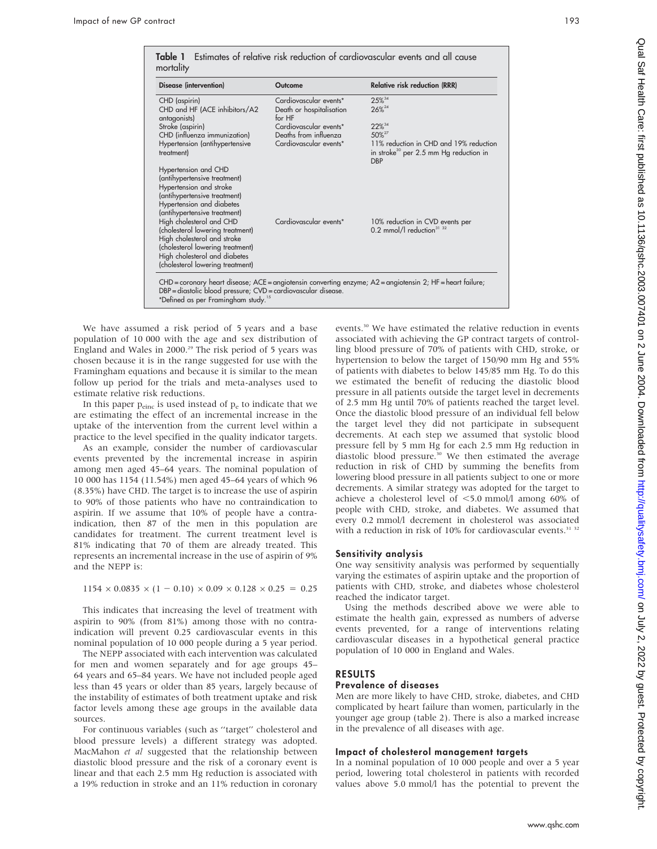| Disease (intervention)                                                                                                                                                                               | Outcome                                                      | <b>Relative risk reduction (RRR)</b>                                                                       |  |  |
|------------------------------------------------------------------------------------------------------------------------------------------------------------------------------------------------------|--------------------------------------------------------------|------------------------------------------------------------------------------------------------------------|--|--|
| CHD (aspirin)<br>CHD and HF (ACE inhibitors/A2<br>antagonists)                                                                                                                                       | Cardiovascular events*<br>Death or hospitalisation<br>for HF | $25\%^{34}$<br>$26\%^{24}$                                                                                 |  |  |
| Stroke (aspirin)                                                                                                                                                                                     | Cardiovascular events*                                       | $22\%^{34}$                                                                                                |  |  |
| CHD (influenza immunization)                                                                                                                                                                         | Deaths from influenza                                        | 50% <sup>27</sup>                                                                                          |  |  |
| Hypertension (antihypertensive<br>treatment)                                                                                                                                                         | Cardiovascular events*                                       | 11% reduction in CHD and 19% reduction<br>in stroke <sup>30</sup> per 2.5 mm Hg reduction in<br><b>DBP</b> |  |  |
| Hypertension and CHD<br>(antihypertensive treatment)<br>Hypertension and stroke<br>(antihypertensive treatment)<br>Hypertension and diabetes<br>(antihypertensive treatment)                         | Cardiovascular events*                                       |                                                                                                            |  |  |
| High cholesterol and CHD<br>(cholesterol lowering treatment)<br>High cholesterol and stroke<br>(cholesterol lowering treatment)<br>High cholesterol and diabetes<br>(cholesterol lowering treatment) |                                                              | 10% reduction in CVD events per<br>0.2 mmol/l reduction <sup>31 32</sup>                                   |  |  |

We have assumed a risk period of 5 years and a base population of 10 000 with the age and sex distribution of England and Wales in  $2000.^{29}$  The risk period of 5 years was chosen because it is in the range suggested for use with the Framingham equations and because it is similar to the mean follow up period for the trials and meta-analyses used to estimate relative risk reductions.

In this paper  $p_{einc}$  is used instead of  $p_e$  to indicate that we are estimating the effect of an incremental increase in the uptake of the intervention from the current level within a practice to the level specified in the quality indicator targets.

As an example, consider the number of cardiovascular events prevented by the incremental increase in aspirin among men aged 45–64 years. The nominal population of 10 000 has 1154 (11.54%) men aged 45–64 years of which 96 (8.35%) have CHD. The target is to increase the use of aspirin to 90% of those patients who have no contraindication to aspirin. If we assume that 10% of people have a contraindication, then 87 of the men in this population are candidates for treatment. The current treatment level is 81% indicating that 70 of them are already treated. This represents an incremental increase in the use of aspirin of 9% and the NEPP is:

 $1154 \times 0.0835 \times (1 - 0.10) \times 0.09 \times 0.128 \times 0.25 = 0.25$ 

This indicates that increasing the level of treatment with aspirin to 90% (from 81%) among those with no contraindication will prevent 0.25 cardiovascular events in this nominal population of 10 000 people during a 5 year period.

The NEPP associated with each intervention was calculated for men and women separately and for age groups 45– 64 years and 65–84 years. We have not included people aged less than 45 years or older than 85 years, largely because of the instability of estimates of both treatment uptake and risk factor levels among these age groups in the available data sources.

For continuous variables (such as ''target'' cholesterol and blood pressure levels) a different strategy was adopted. MacMahon et al suggested that the relationship between diastolic blood pressure and the risk of a coronary event is linear and that each 2.5 mm Hg reduction is associated with a 19% reduction in stroke and an 11% reduction in coronary

events.30 We have estimated the relative reduction in events associated with achieving the GP contract targets of controlling blood pressure of 70% of patients with CHD, stroke, or hypertension to below the target of 150/90 mm Hg and 55% of patients with diabetes to below 145/85 mm Hg. To do this we estimated the benefit of reducing the diastolic blood pressure in all patients outside the target level in decrements of 2.5 mm Hg until 70% of patients reached the target level. Once the diastolic blood pressure of an individual fell below the target level they did not participate in subsequent decrements. At each step we assumed that systolic blood pressure fell by 5 mm Hg for each 2.5 mm Hg reduction in diastolic blood pressure.<sup>30</sup> We then estimated the average reduction in risk of CHD by summing the benefits from lowering blood pressure in all patients subject to one or more decrements. A similar strategy was adopted for the target to achieve a cholesterol level of  $\leq 5.0$  mmol/l among 60% of people with CHD, stroke, and diabetes. We assumed that every 0.2 mmol/l decrement in cholesterol was associated with a reduction in risk of 10% for cardiovascular events.<sup>31</sup> <sup>32</sup>

#### Sensitivity analysis

One way sensitivity analysis was performed by sequentially varying the estimates of aspirin uptake and the proportion of patients with CHD, stroke, and diabetes whose cholesterol reached the indicator target.

Using the methods described above we were able to estimate the health gain, expressed as numbers of adverse events prevented, for a range of interventions relating cardiovascular diseases in a hypothetical general practice population of 10 000 in England and Wales.

# RESULTS

#### Prevalence of diseases

Men are more likely to have CHD, stroke, diabetes, and CHD complicated by heart failure than women, particularly in the younger age group (table 2). There is also a marked increase in the prevalence of all diseases with age.

#### Impact of cholesterol management targets

In a nominal population of 10 000 people and over a 5 year period, lowering total cholesterol in patients with recorded values above 5.0 mmol/l has the potential to prevent the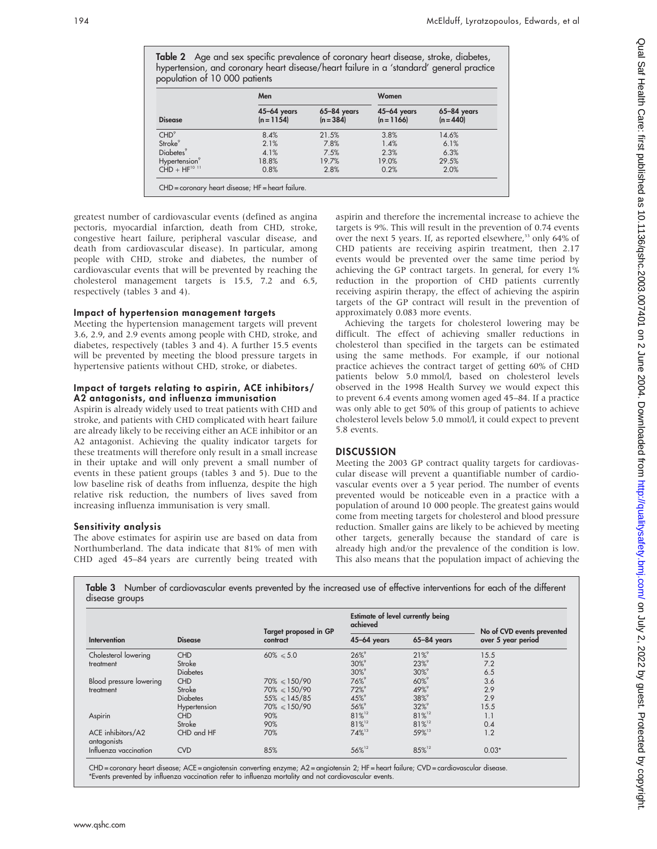Table 2 Age and sex specific prevalence of coronary heart disease, stroke, diabetes, hypertension, and coronary heart disease/heart failure in a 'standard' general practice population of 10 000 patients

|                                                        | Men                         |                                | Women                       |                                |
|--------------------------------------------------------|-----------------------------|--------------------------------|-----------------------------|--------------------------------|
| <b>Disease</b>                                         | 45-64 years<br>$(n = 1154)$ | $65 - 84$ years<br>$(n = 384)$ | 45-64 years<br>$(n = 1166)$ | $65 - 84$ years<br>$(n = 440)$ |
| CHD <sup>9</sup>                                       | 8.4%                        | 21.5%                          | 3.8%                        | 14.6%                          |
| Stroke <sup>9</sup>                                    | 2.1%                        | 7.8%                           | 1.4%                        | 6.1%                           |
| Diabetes <sup>9</sup>                                  | 4.1%                        | 7.5%                           | 2.3%                        | 6.3%                           |
|                                                        | 18.8%                       | 19.7%                          | 19.0%                       | 29.5%                          |
| Hypertension <sup>9</sup><br>CHD + HF <sup>10 11</sup> | 0.8%                        | 2.8%                           | 0.2%                        | 2.0%                           |

greatest number of cardiovascular events (defined as angina pectoris, myocardial infarction, death from CHD, stroke, congestive heart failure, peripheral vascular disease, and death from cardiovascular disease). In particular, among people with CHD, stroke and diabetes, the number of cardiovascular events that will be prevented by reaching the cholesterol management targets is 15.5, 7.2 and 6.5, respectively (tables 3 and 4).

#### Impact of hypertension management targets

Meeting the hypertension management targets will prevent 3.6, 2.9, and 2.9 events among people with CHD, stroke, and diabetes, respectively (tables 3 and 4). A further 15.5 events will be prevented by meeting the blood pressure targets in hypertensive patients without CHD, stroke, or diabetes.

#### Impact of targets relating to aspirin, ACE inhibitors/ A2 antagonists, and influenza immunisation

Aspirin is already widely used to treat patients with CHD and stroke, and patients with CHD complicated with heart failure are already likely to be receiving either an ACE inhibitor or an A2 antagonist. Achieving the quality indicator targets for these treatments will therefore only result in a small increase in their uptake and will only prevent a small number of events in these patient groups (tables 3 and 5). Due to the low baseline risk of deaths from influenza, despite the high relative risk reduction, the numbers of lives saved from increasing influenza immunisation is very small.

#### Sensitivity analysis

The above estimates for aspirin use are based on data from Northumberland. The data indicate that 81% of men with CHD aged 45–84 years are currently being treated with

aspirin and therefore the incremental increase to achieve the targets is 9%. This will result in the prevention of 0.74 events over the next 5 years. If, as reported elsewhere,<sup>33</sup> only 64% of CHD patients are receiving aspirin treatment, then 2.17 events would be prevented over the same time period by achieving the GP contract targets. In general, for every 1% reduction in the proportion of CHD patients currently receiving aspirin therapy, the effect of achieving the aspirin targets of the GP contract will result in the prevention of approximately 0.083 more events.

Achieving the targets for cholesterol lowering may be difficult. The effect of achieving smaller reductions in cholesterol than specified in the targets can be estimated using the same methods. For example, if our notional practice achieves the contract target of getting 60% of CHD patients below 5.0 mmol/l, based on cholesterol levels observed in the 1998 Health Survey we would expect this to prevent 6.4 events among women aged 45–84. If a practice was only able to get 50% of this group of patients to achieve cholesterol levels below 5.0 mmol/l, it could expect to prevent 5.8 events.

#### **DISCUSSION**

Meeting the 2003 GP contract quality targets for cardiovascular disease will prevent a quantifiable number of cardiovascular events over a 5 year period. The number of events prevented would be noticeable even in a practice with a population of around 10 000 people. The greatest gains would come from meeting targets for cholesterol and blood pressure reduction. Smaller gains are likely to be achieved by meeting other targets, generally because the standard of care is already high and/or the prevalence of the condition is low. This also means that the population impact of achieving the

Table 3 Number of cardiovascular events prevented by the increased use of effective interventions for each of the different disease groups

|                                  |                 |                                          | Estimate of level currently being<br>achieved |                  | No of CVD events prevented<br>over 5 year period |  |
|----------------------------------|-----------------|------------------------------------------|-----------------------------------------------|------------------|--------------------------------------------------|--|
| Intervention                     | <b>Disease</b>  | <b>Target proposed in GP</b><br>contract | $45-64$ years                                 | $65 - 84$ years  |                                                  |  |
| Cholesterol lowering             | <b>CHD</b>      | $60\% \le 5.0$                           | $26\%$                                        | $21\%$           | 15.5                                             |  |
| treatment                        | Stroke          |                                          | $30\%$                                        | $23\%$           | 7.2                                              |  |
|                                  | <b>Diabetes</b> |                                          | $30\%$                                        | $30\%$           | 6.5                                              |  |
| Blood pressure lowering          | <b>CHD</b>      | $70\% \le 150/90$                        | $76\%$                                        | $60\%$           | 3.6                                              |  |
| treatment                        | Stroke          | $70\% \le 150/90$                        | $72\%$                                        | 49%              | 2.9                                              |  |
|                                  | <b>Diabetes</b> | $55\% \le 145/85$                        | 45%°                                          | 38% <sup>9</sup> | 2.9                                              |  |
|                                  | Hypertension    | $70\% \le 150/90$                        | 56%°                                          | $32\%$           | 15.5                                             |  |
| Aspirin                          | <b>CHD</b>      | 90%                                      | $81\%^{12}$                                   | $81\%^{12}$      | 1.1                                              |  |
|                                  | Stroke          | 90%                                      | $81\%^{12}$                                   | 81%12            | 0.4                                              |  |
| ACE inhibitors/A2<br>antagonists | CHD and HF      | 70%                                      | $74\%$ <sup>13</sup>                          | 59%13            | 1.2                                              |  |
| Influenza vaccination            | <b>CVD</b>      | 85%                                      | 56%12                                         | 85%12            | $0.03*$                                          |  |

CHD = coronary heart disease; ACE = angiotensin converting enzyme; A2 = angiotensin 2; HF = heart failure; CVD = cardiovascular disease. \*Events prevented by influenza vaccination refer to influenza mortality and not cardiovascular events.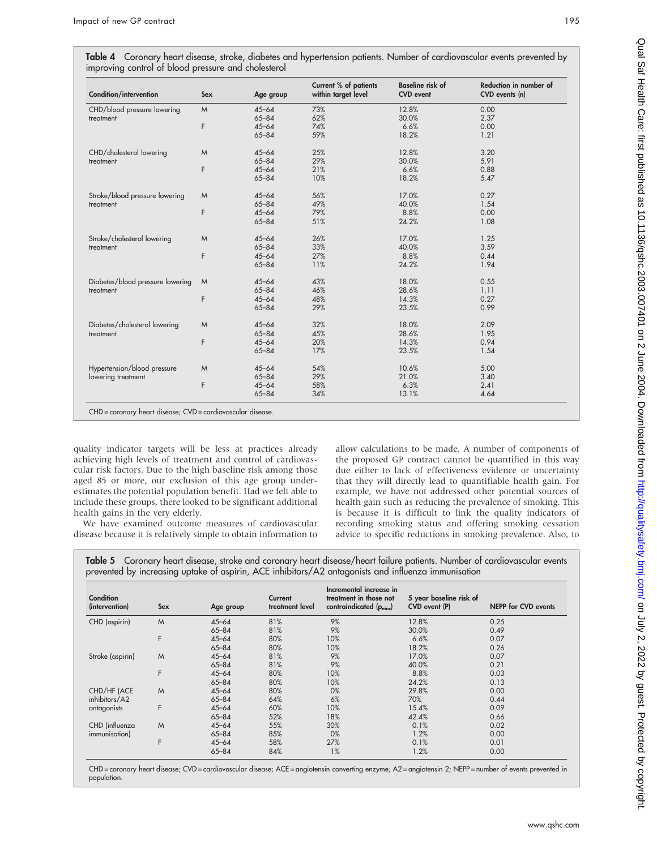| Table 4 Coronary heart disease, stroke, diabetes and hypertension patients. Number of cardiovascular events prevented by |  |  |  |  |  |
|--------------------------------------------------------------------------------------------------------------------------|--|--|--|--|--|
| improving control of blood pressure and cholesterol                                                                      |  |  |  |  |  |

| Condition/intervention           | Sex | Age group | Current % of patients<br>within target level | <b>Baseline risk of</b><br><b>CVD</b> event | Reduction in number of<br>CVD events (n) |
|----------------------------------|-----|-----------|----------------------------------------------|---------------------------------------------|------------------------------------------|
| CHD/blood pressure lowering      | M   | $45 - 64$ | 73%                                          | 12.8%                                       | 0.00                                     |
| treatment                        |     | $65 - 84$ | 62%                                          | 30.0%                                       | 2.37                                     |
|                                  | F   | $45 - 64$ | 74%                                          | 6.6%                                        | 0.00                                     |
|                                  |     | $65 - 84$ | 59%                                          | 18.2%                                       | 1.21                                     |
| CHD/cholesterol lowering         | M   | $45 - 64$ | 25%                                          | 12.8%                                       | 3.20                                     |
| treatment                        |     | $65 - 84$ | 29%                                          | 30.0%                                       | 5.91                                     |
|                                  | F   | $45 - 64$ | 21%                                          | 6.6%                                        | 0.88                                     |
|                                  |     | $65 - 84$ | 10%                                          | 18.2%                                       | 5.47                                     |
| Stroke/blood pressure lowering   | M   | $45 - 64$ | 56%                                          | 17.0%                                       | 0.27                                     |
| treatment                        |     | $65 - 84$ | 49%                                          | 40.0%                                       | 1.54                                     |
|                                  | F   | $45 - 64$ | 79%                                          | 8.8%                                        | 0.00                                     |
|                                  |     | $65 - 84$ | 51%                                          | 24.2%                                       | 1.08                                     |
| Stroke/cholesterol lowering      | M   | $45 - 64$ | 26%                                          | 17.0%                                       | 1.25                                     |
| treatment                        |     | $65 - 84$ | 33%                                          | 40.0%                                       | 3.59                                     |
|                                  | F   | $45 - 64$ | 27%                                          | 8.8%                                        | 0.44                                     |
|                                  |     | $65 - 84$ | 11%                                          | 24.2%                                       | 1.94                                     |
| Diabetes/blood pressure lowering | M   | $45 - 64$ | 43%                                          | 18.0%                                       | 0.55                                     |
| treatment                        |     | $65 - 84$ | 46%                                          | 28.6%                                       | 1.11                                     |
|                                  | F   | $45 - 64$ | 48%                                          | 14.3%                                       | 0.27                                     |
|                                  |     | $65 - 84$ | 29%                                          | 23.5%                                       | 0.99                                     |
| Diabetes/cholesterol lowering    | M   | $45 - 64$ | 32%                                          | 18.0%                                       | 2.09                                     |
| treatment                        |     | $65 - 84$ | 45%                                          | 28.6%                                       | 1.95                                     |
|                                  | F   | $45 - 64$ | 20%                                          | 14.3%                                       | 0.94                                     |
|                                  |     | $65 - 84$ | 17%                                          | 23.5%                                       | 1.54                                     |
| Hypertension/blood pressure      | M   | $45 - 64$ | 54%                                          | 10.6%                                       | 5.00                                     |
| lowering treatment               |     | $65 - 84$ | 29%                                          | 21.0%                                       | 3.40                                     |
|                                  | F   | $45 - 64$ | 58%                                          | 6.3%                                        | 2.41                                     |
|                                  |     | $65 - 84$ | 34%                                          | 13.1%                                       | 4.64                                     |

quality indicator targets will be less at practices already achieving high levels of treatment and control of cardiovascular risk factors. Due to the high baseline risk among those aged 85 or more, our exclusion of this age group underestimates the potential population benefit. Had we felt able to include these groups, there looked to be significant additional health gains in the very elderly.

We have examined outcome measures of cardiovascular disease because it is relatively simple to obtain information to allow calculations to be made. A number of components of the proposed GP contract cannot be quantified in this way due either to lack of effectiveness evidence or uncertainty that they will directly lead to quantifiable health gain. For example, we have not addressed other potential sources of health gain such as reducing the prevalence of smoking. This is because it is difficult to link the quality indicators of recording smoking status and offering smoking cessation advice to specific reductions in smoking prevalence. Also, to

Table 5 Coronary heart disease, stroke and coronary heart disease/heart failure patients. Number of cardiovascular events prevented by increasing uptake of aspirin, ACE inhibitors/A2 antagonists and influenza immunisation

| Condition<br>(intervention) | Sex | Age group | Current<br>treatment level | Incremental increase in<br>treatment in those not<br>contraindicated (peinc) | 5 year baseline risk of<br>CVD event (P) | <b>NEPP for CVD events</b> |
|-----------------------------|-----|-----------|----------------------------|------------------------------------------------------------------------------|------------------------------------------|----------------------------|
| CHD (aspirin)               | M   | $45 - 64$ | 81%                        | 9%                                                                           | 12.8%                                    | 0.25                       |
|                             |     | $65 - 84$ | 81%                        | 9%                                                                           | 30.0%                                    | 0.49                       |
|                             | F   | $45 - 64$ | 80%                        | 10%                                                                          | 6.6%                                     | 0.07                       |
|                             |     | $65 - 84$ | 80%                        | 10%                                                                          | 18.2%                                    | 0.26                       |
| Stroke (aspirin)            | M   | $45 - 64$ | 81%                        | 9%                                                                           | 17.0%                                    | 0.07                       |
|                             |     | $65 - 84$ | 81%                        | 9%                                                                           | 40.0%                                    | 0.21                       |
|                             | F   | $45 - 64$ | 80%                        | 10%                                                                          | 8.8%                                     | 0.03                       |
|                             |     | $65 - 84$ | 80%                        | 10%                                                                          | 24.2%                                    | 0.13                       |
| CHD/HF (ACE                 | M   | $45 - 64$ | 80%                        | 0%                                                                           | 29.8%                                    | 0.00                       |
| inhibitors/A2               |     | $65 - 84$ | 64%                        | 6%                                                                           | 70%                                      | 0.44                       |
| antagonists                 | F   | $45 - 64$ | 60%                        | 10%                                                                          | 15.4%                                    | 0.09                       |
|                             |     | $65 - 84$ | 52%                        | 18%                                                                          | 42.4%                                    | 0.66                       |
| CHD (influenza              | M   | $45 - 64$ | 55%                        | 30%                                                                          | 0.1%                                     | 0.02                       |
| immunisation)               |     | $65 - 84$ | 85%                        | 0%                                                                           | 1.2%                                     | 0.00                       |
|                             | F   | $45 - 64$ | 58%                        | 27%                                                                          | 0.1%                                     | 0.01                       |
|                             |     | $65 - 84$ | 84%                        | 1%                                                                           | 1.2%                                     | 0.00                       |

CHD = coronary heart disease; CVD = cardiovascular disease; ACE = angiotensin converting enzyme; A2 = angiotensin 2; NEPP = number of events prevented in population.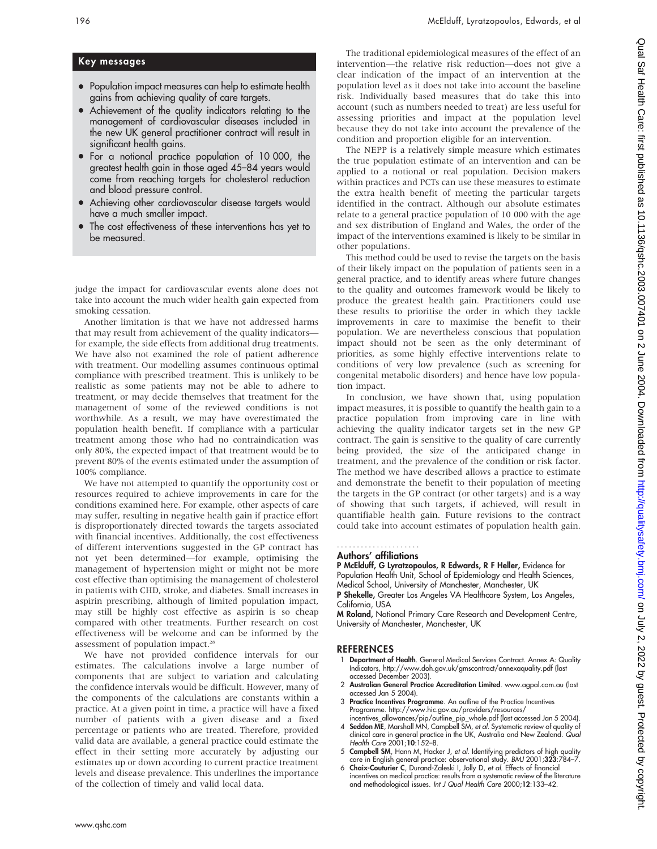# Key messages

- Population impact measures can help to estimate health gains from achieving quality of care targets.
- Achievement of the quality indicators relating to the management of cardiovascular diseases included in the new UK general practitioner contract will result in significant health gains.
- For a notional practice population of 10 000, the greatest health gain in those aged 45–84 years would come from reaching targets for cholesterol reduction and blood pressure control.
- Achieving other cardiovascular disease targets would have a much smaller impact.
- The cost effectiveness of these interventions has yet to be measured.

judge the impact for cardiovascular events alone does not take into account the much wider health gain expected from smoking cessation.

Another limitation is that we have not addressed harms that may result from achievement of the quality indicators for example, the side effects from additional drug treatments. We have also not examined the role of patient adherence with treatment. Our modelling assumes continuous optimal compliance with prescribed treatment. This is unlikely to be realistic as some patients may not be able to adhere to treatment, or may decide themselves that treatment for the management of some of the reviewed conditions is not worthwhile. As a result, we may have overestimated the population health benefit. If compliance with a particular treatment among those who had no contraindication was only 80%, the expected impact of that treatment would be to prevent 80% of the events estimated under the assumption of 100% compliance.

We have not attempted to quantify the opportunity cost or resources required to achieve improvements in care for the conditions examined here. For example, other aspects of care may suffer, resulting in negative health gain if practice effort is disproportionately directed towards the targets associated with financial incentives. Additionally, the cost effectiveness of different interventions suggested in the GP contract has not yet been determined—for example, optimising the management of hypertension might or might not be more cost effective than optimising the management of cholesterol in patients with CHD, stroke, and diabetes. Small increases in aspirin prescribing, although of limited population impact, may still be highly cost effective as aspirin is so cheap compared with other treatments. Further research on cost effectiveness will be welcome and can be informed by the assessment of population impact.<sup>28</sup>

We have not provided confidence intervals for our estimates. The calculations involve a large number of components that are subject to variation and calculating the confidence intervals would be difficult. However, many of the components of the calculations are constants within a practice. At a given point in time, a practice will have a fixed number of patients with a given disease and a fixed percentage or patients who are treated. Therefore, provided valid data are available, a general practice could estimate the effect in their setting more accurately by adjusting our estimates up or down according to current practice treatment levels and disease prevalence. This underlines the importance of the collection of timely and valid local data.

The traditional epidemiological measures of the effect of an intervention—the relative risk reduction—does not give a clear indication of the impact of an intervention at the population level as it does not take into account the baseline risk. Individually based measures that do take this into account (such as numbers needed to treat) are less useful for assessing priorities and impact at the population level because they do not take into account the prevalence of the condition and proportion eligible for an intervention.

The NEPP is a relatively simple measure which estimates the true population estimate of an intervention and can be applied to a notional or real population. Decision makers within practices and PCTs can use these measures to estimate the extra health benefit of meeting the particular targets identified in the contract. Although our absolute estimates relate to a general practice population of 10 000 with the age and sex distribution of England and Wales, the order of the impact of the interventions examined is likely to be similar in other populations.

This method could be used to revise the targets on the basis of their likely impact on the population of patients seen in a general practice, and to identify areas where future changes to the quality and outcomes framework would be likely to produce the greatest health gain. Practitioners could use these results to prioritise the order in which they tackle improvements in care to maximise the benefit to their population. We are nevertheless conscious that population impact should not be seen as the only determinant of priorities, as some highly effective interventions relate to conditions of very low prevalence (such as screening for congenital metabolic disorders) and hence have low population impact.

In conclusion, we have shown that, using population impact measures, it is possible to quantify the health gain to a practice population from improving care in line with achieving the quality indicator targets set in the new GP contract. The gain is sensitive to the quality of care currently being provided, the size of the anticipated change in treatment, and the prevalence of the condition or risk factor. The method we have described allows a practice to estimate and demonstrate the benefit to their population of meeting the targets in the GP contract (or other targets) and is a way of showing that such targets, if achieved, will result in quantifiable health gain. Future revisions to the contract could take into account estimates of population health gain.

#### Authors' affiliations .....................

P McElduff, G Lyratzopoulos, R Edwards, R F Heller, Evidence for Population Health Unit, School of Epidemiology and Health Sciences, Medical School, University of Manchester, Manchester, UK

P Shekelle, Greater Los Angeles VA Healthcare System, Los Angeles, California, USA

M Roland, National Primary Care Research and Development Centre, University of Manchester, Manchester, UK

#### REFERENCES

- 1 Department of Health. General Medical Services Contract. Annex A: Quality Indicators, http://www.doh.gov.uk/gmscontract/annexaquality.pdf (last accessed December 2003).
- 2 Australian General Practice Accreditation Limited. www.agpal.com.au (last accessed Jan 5 2004).
- 3 Practice Incentives Programme. An outline of the Practice Incentives Programme. http://www.hic.gov.au/providers/resources/
- incentives\_allowances/pip/outline\_pip\_whole.pdf (last accessed Jan 5 2004). 4 Seddon ME, Marshall MN, Campbell SM, et al. Systematic review of quality of clinical care in general practice in the UK, Australia and New Zealand. Qual Health Care 2001;10:152–8.
- 5 Campbell SM, Hann M, Hacker J, et al. Identifying predictors of high quality care in English general practice: observational study. BMJ 2001;**323**:784–7.<br>6 **Chaix-Couturier C**, Durand-Zaleski I, Jolly D, *et al*. Effects of financial
- incentives on medical practice: results from a systematic review of the literature and methodological issues. Int J Qual Health Care 2000;12:133–42.